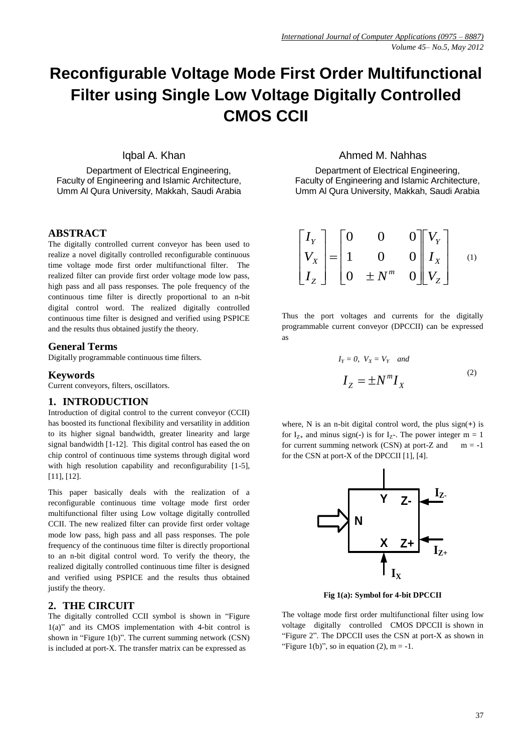# **Reconfigurable Voltage Mode First Order Multifunctional Filter using Single Low Voltage Digitally Controlled CMOS CCII**

Iqbal A. Khan

Department of Electrical Engineering, Faculty of Engineering and Islamic Architecture, Umm Al Qura University, Makkah, Saudi Arabia

## **ABSTRACT**

The digitally controlled current conveyor has been used to realize a novel digitally controlled reconfigurable continuous time voltage mode first order multifunctional filter. The realized filter can provide first order voltage mode low pass, high pass and all pass responses. The pole frequency of the continuous time filter is directly proportional to an n-bit digital control word. The realized digitally controlled continuous time filter is designed and verified using PSPICE and the results thus obtained justify the theory.

## **General Terms**

Digitally programmable continuous time filters.

#### **Keywords**

Current conveyors, filters, oscillators.

## **1. INTRODUCTION**

Introduction of digital control to the current conveyor (CCII) has boosted its functional flexibility and versatility in addition to its higher signal bandwidth, greater linearity and large signal bandwidth [1-12]. This digital control has eased the on chip control of continuous time systems through digital word with high resolution capability and reconfigurability [1-5], [11], [12].

This paper basically deals with the realization of a reconfigurable continuous time voltage mode first order multifunctional filter using Low voltage digitally controlled CCII. The new realized filter can provide first order voltage mode low pass, high pass and all pass responses. The pole frequency of the continuous time filter is directly proportional to an n-bit digital control word. To verify the theory, the realized digitally controlled continuous time filter is designed and verified using PSPICE and the results thus obtained justify the theory.

## **2. THE CIRCUIT**

The digitally controlled CCII symbol is shown in "Figure 1(a)" and its CMOS implementation with 4-bit control is shown in "Figure 1(b)". The current summing network (CSN) is included at port-X. The transfer matrix can be expressed as

# Ahmed M. Nahhas

Department of Electrical Engineering, Faculty of Engineering and Islamic Architecture, Umm Al Qura University, Makkah, Saudi Arabia

$$
\begin{bmatrix} I_Y \\ V_X \\ I_Z \end{bmatrix} = \begin{bmatrix} 0 & 0 & 0 \\ 1 & 0 & 0 \\ 0 & \pm N^m & 0 \end{bmatrix} \begin{bmatrix} V_Y \\ I_X \\ V_Z \end{bmatrix}
$$
 (1)

Thus the port voltages and currents for the digitally programmable current conveyor (DPCCII) can be expressed as

$$
I_Y = 0, V_X = V_Y \quad and
$$
  

$$
I_Z = \pm N^m I_X \tag{2}
$$

where, N is an n-bit digital control word, the plus sign(**+**) is for  $I_{Z+}$  and minus sign(-) is for  $I_{Z-}$ . The power integer  $m = 1$ for current summing network (CSN) at port-Z and  $m = -1$ for the CSN at port-X of the DPCCII [1], [4].



**Fig 1(a): Symbol for 4-bit DPCCII**

The voltage mode first order multifunctional filter using low voltage digitally controlled CMOS DPCCII is shown in "Figure 2". The DPCCII uses the CSN at port-X as shown in "Figure 1(b)", so in equation (2),  $m = -1$ .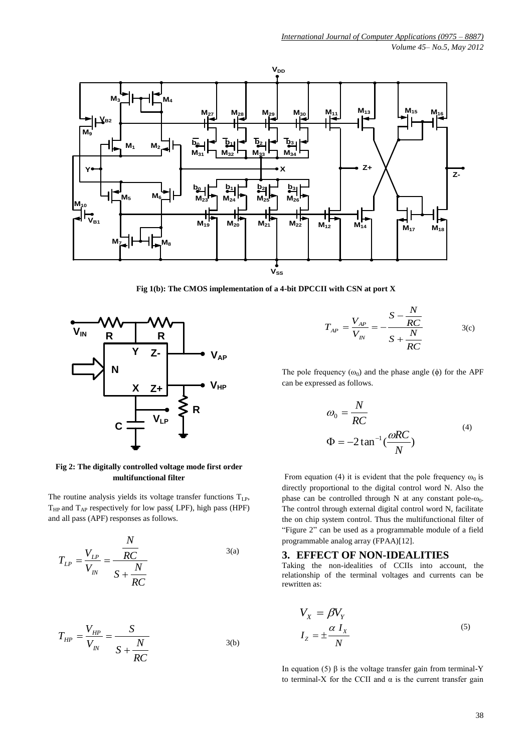

**Fig 1(b): The CMOS implementation of a 4-bit DPCCII with CSN at port X**



$$
T_{AP} = \frac{V_{AP}}{V_{IN}} = -\frac{S - \frac{N}{RC}}{S + \frac{N}{RC}}
$$
 (c)

*N*

The pole frequency  $(\omega_0)$  and the phase angle  $(\phi)$  for the APF can be expressed as follows.

$$
\omega_0 = \frac{N}{RC}
$$
  
\n
$$
\Phi = -2 \tan^{-1} \left( \frac{\omega RC}{N} \right)
$$
\n(4)

From equation (4) it is evident that the pole frequency  $\omega_0$  is directly proportional to the digital control word N. Also the phase can be controlled through N at any constant pole- $\omega_0$ . The control through external digital control word N, facilitate the on chip system control. Thus the multifunctional filter of "Figure 2" can be used as a programmable module of a field programmable analog array (FPAA)[12].

## **3. EFFECT OF NON-IDEALITIES**

Taking the non-idealities of CCIIs into account, the relationship of the terminal voltages and currents can be rewritten as:

$$
V_X = \beta V_Y
$$
  
\n
$$
I_Z = \pm \frac{\alpha I_X}{N}
$$
\n(5)

In equation (5) β is the voltage transfer gain from terminal-Y to terminal-X for the CCII and  $\alpha$  is the current transfer gain

## **Fig 2: The digitally controlled voltage mode first order multifunctional filter**

The routine analysis yields its voltage transfer functions  $T_{LP}$ ,  $T_{HP}$  and  $T_{AP}$  respectively for low pass(LPF), high pass (HPF) and all pass (APF) responses as follows.

$$
T_{LP} = \frac{V_{LP}}{V_{IN}} = \frac{\frac{N}{RC}}{S + \frac{N}{RC}}
$$

$$
T_{HP} = \frac{V_{HP}}{V_{IN}} = \frac{S}{S + \frac{N}{RC}}
$$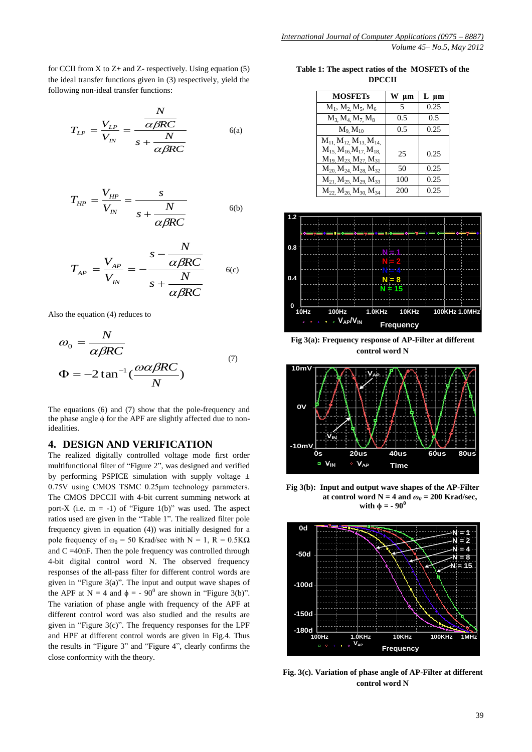for CCII from X to  $Z$ + and  $Z$ - respectively. Using equation (5) the ideal transfer functions given in (3) respectively, yield the following non-ideal transfer functions:

$$
T_{LP} = \frac{V_{LP}}{V_{IN}} = \frac{\frac{N}{\alpha \beta RC}}{s + \frac{N}{\alpha \beta RC}}
$$
 (6a)

$$
T_{HP} = \frac{V_{HP}}{V_{IN}} = \frac{s}{s + \frac{N}{\alpha \beta RC}}
$$
 (6b)

*N*

$$
T_{AP} = \frac{V_{AP}}{V_{IN}} = -\frac{s - \frac{N}{\alpha\beta RC}}{s + \frac{N}{\alpha\beta RC}}
$$
 6(c)

Also the equation (4) reduces to

$$
\omega_0 = \frac{N}{\alpha \beta RC}
$$
  
\n
$$
\Phi = -2 \tan^{-1} \left( \frac{\omega \alpha \beta RC}{N} \right)
$$
 (7)

The equations (6) and (7) show that the pole-frequency and the phase angle ϕ for the APF are slightly affected due to nonidealities.

## **4. DESIGN AND VERIFICATION**

The realized digitally controlled voltage mode first order multifunctional filter of "Figure 2", was designed and verified by performing PSPICE simulation with supply voltage  $\pm$ 0.75V using CMOS TSMC 0.25μm technology parameters. The CMOS DPCCII with 4-bit current summing network at port-X (i.e.  $m = -1$ ) of "Figure 1(b)" was used. The aspect ratios used are given in the "Table 1". The realized filter pole frequency given in equation (4)) was initially designed for a pole frequency of  $\omega_0 = 50$  Krad/sec with N = 1, R = 0.5K $\Omega$ and C =40nF. Then the pole frequency was controlled through 4-bit digital control word N. The observed frequency responses of the all-pass filter for different control words are given in "Figure 3(a)". The input and output wave shapes of the APF at N = 4 and  $\phi = -90^{\circ}$  are shown in "Figure 3(b)". The variation of phase angle with frequency of the APF at different control word was also studied and the results are given in "Figure 3(c)". The frequency responses for the LPF and HPF at different control words are given in Fig.4. Thus the results in "Figure 3" and "Figure 4", clearly confirms the close conformity with the theory.

**Table 1: The aspect ratios of the MOSFETs of the DPCCII**

| <b>MOSFETs</b>                                                             | W<br>um | L µm |
|----------------------------------------------------------------------------|---------|------|
| $M_1, M_2, M_5, M_6$                                                       | 5       | 0.25 |
| $M_3$ , $M_4$ , $M_7$ , $M_8$                                              | 0.5     | 0.5  |
| $M_9 M_{10}$                                                               | 0.5     | 0.25 |
| $M_{11}$ , $M_{12}$ , $M_{13}$ , $M_{14}$ ,                                |         |      |
| $M_{15}$ , $M_{16}$ , $M_{17}$ , $M_{18}$<br>$M_{19} M_{23} M_{27} M_{31}$ | 25      | 0.25 |
| $M_{20}$ , $M_{24}$ , $M_{28}$ , $M_{32}$                                  | 50      | 0.25 |
| $M_{21}$ , $M_{25}$ , $M_{29}$ , $M_{33}$                                  | 100     | 0.25 |
| $M_{22}$ , $M_{26}$ , $M_{30}$ , $M_{34}$                                  | 200     | 0.25 |



**Fig 3(a): Frequency response of AP-Filter at different control word N**



**Fig 3(b): Input and output wave shapes of the AP-Filter at control word N = 4 and**  $\omega_0$  **= 200 Krad/sec, with**  $\phi = -90^{\circ}$ 



**Fig. 3(c). Variation of phase angle of AP-Filter at different control word N**